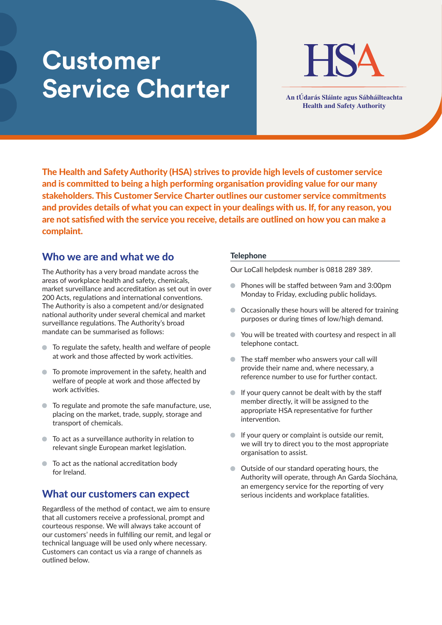# **Customer Service Charter An tÚdarás Sláinte agus Sábháilteachta**



**Health and Safety Authority**

The Health and Safety Authority (HSA) strives to provide high levels of customer service and is committed to being a high performing organisation providing value for our many stakeholders. This Customer Service Charter outlines our customer service commitments and provides details of what you can expect in your dealings with us. If, for any reason, you are not satisfied with the service you receive, details are outlined on how you can make a complaint.

### Who we are and what we do

The Authority has a very broad mandate across the areas of workplace health and safety, chemicals, market surveillance and accreditation as set out in over 200 Acts, regulations and international conventions. The Authority is also a competent and/or designated national authority under several chemical and market surveillance regulations. The Authority's broad mandate can be summarised as follows:

- To regulate the safety, health and welfare of people at work and those affected by work activities.
- To promote improvement in the safety, health and welfare of people at work and those affected by work activities.
- To regulate and promote the safe manufacture, use, placing on the market, trade, supply, storage and transport of chemicals.
- $\bullet$  To act as a surveillance authority in relation to relevant single European market legislation.
- $\bullet$  To act as the national accreditation body for Ireland.

## What our customers can expect

Regardless of the method of contact, we aim to ensure that all customers receive a professional, prompt and courteous response. We will always take account of our customers' needs in fulfilling our remit, and legal or technical language will be used only where necessary. Customers can contact us via a range of channels as outlined below.

#### **Telephone**

Our LoCall helpdesk number is 0818 289 389.

- Phones will be staffed between 9am and 3:00pm Monday to Friday, excluding public holidays.
- Occasionally these hours will be altered for training purposes or during times of low/high demand.
- You will be treated with courtesy and respect in all telephone contact.
- **•** The staff member who answers your call will provide their name and, where necessary, a reference number to use for further contact.
- If your query cannot be dealt with by the staff member directly, it will be assigned to the appropriate HSA representative for further intervention.
- $\bullet$  If your query or complaint is outside our remit, we will try to direct you to the most appropriate organisation to assist.
- Outside of our standard operating hours, the Authority will operate, through An Garda Síochána, an emergency service for the reporting of very serious incidents and workplace fatalities.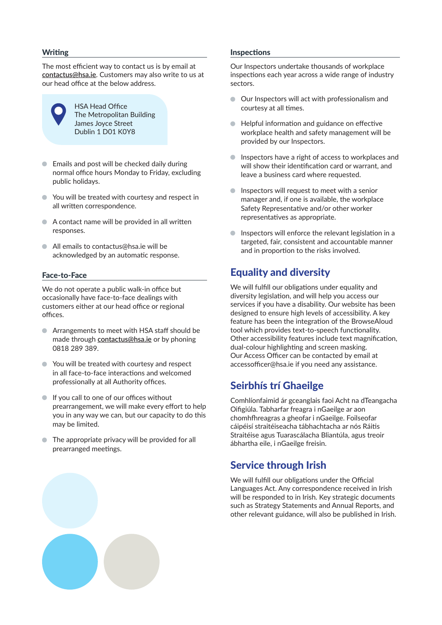#### **Writing**

The most efficient way to contact us is by email at **contactus@hsa.ie**. Customers may also write to us at our head office at the below address.



HSA Head Office The Metropolitan Building James Joyce Street Dublin 1 D01 K0Y8

- Emails and post will be checked daily during normal office hours Monday to Friday, excluding public holidays.
- You will be treated with courtesy and respect in all written correspondence.
- A contact name will be provided in all written responses.
- All emails to contactus@hsa.ie will be acknowledged by an automatic response.

#### Face-to-Face

We do not operate a public walk-in office but occasionally have face-to-face dealings with customers either at our head office or regional offices.

- Arrangements to meet with HSA staff should be made through **contactus@hsa.ie** or by phoning 0818 289 389.
- You will be treated with courtesy and respect in all face-to-face interactions and welcomed professionally at all Authority offices.
- If you call to one of our offices without prearrangement, we will make every effort to help you in any way we can, but our capacity to do this may be limited.
- The appropriate privacy will be provided for all prearranged meetings.

#### Inspections

Our Inspectors undertake thousands of workplace inspections each year across a wide range of industry sectors.

- Our Inspectors will act with professionalism and courtesy at all times.
- Helpful information and guidance on effective workplace health and safety management will be provided by our Inspectors.
- **Inspectors have a right of access to workplaces and** will show their identification card or warrant, and leave a business card where requested.
- $\bullet$  Inspectors will request to meet with a senior manager and, if one is available, the workplace Safety Representative and/or other worker representatives as appropriate.
- $\bullet$  Inspectors will enforce the relevant legislation in a targeted, fair, consistent and accountable manner and in proportion to the risks involved.

## Equality and diversity

We will fulfill our obligations under equality and diversity legislation, and will help you access our services if you have a disability. Our website has been designed to ensure high levels of accessibility. A key feature has been the integration of the BrowseAloud tool which provides text-to-speech functionality. Other accessibility features include text magnification, dual-colour highlighting and screen masking. Our Access Officer can be contacted by email at accessofficer@hsa.ie if you need any assistance.

## Seirbhís trí Ghaeilge

Comhlíonfaimid ár gceanglais faoi Acht na dTeangacha Oifigiúla. Tabharfar freagra i nGaeilge ar aon chomhfhreagras a gheofar i nGaeilge. Foilseofar cáipéisí straitéiseacha tábhachtacha ar nós Ráitis Straitéise agus Tuarascálacha Bliantúla, agus treoir ábhartha eile, i nGaeilge freisin.

## Service through Irish

We will fulfill our obligations under the Official Languages Act. Any correspondence received in Irish will be responded to in Irish. Key strategic documents such as Strategy Statements and Annual Reports, and other relevant guidance, will also be published in Irish.